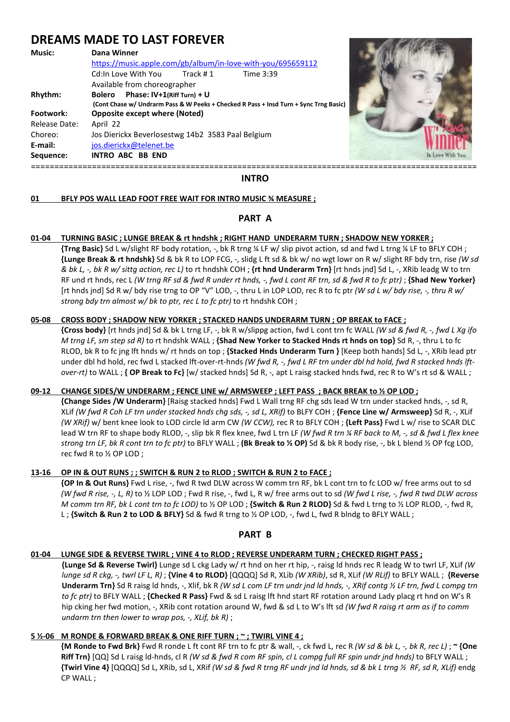# **DREAMS MADE TO LAST FOREVER**

| E-mail:<br>Sequence:     | Jos Dierickx Beverlosestwg 14b2 3583 Paal Belgium<br>jos.dierickx@telenet.be<br><b>INTRO ABC BB END</b>                                     | In Love With You |
|--------------------------|---------------------------------------------------------------------------------------------------------------------------------------------|------------------|
| Release Date:<br>Choreo: | April 22                                                                                                                                    |                  |
| Footwork:                | <b>Opposite except where (Noted)</b>                                                                                                        |                  |
| Rhythm:                  | Bolero Phase: IV+1(Riff Turn) + U<br>(Cont Chase w/ Undrarm Pass & W Peeks + Checked R Pass + Insd Turn + Sync Trng Basic)                  |                  |
|                          | https://music.apple.com/gb/album/in-love-with-you/695659112<br>Track #1<br>Cd:In Love With You<br>Time 3:39<br>Available from choreographer |                  |
| <b>Music:</b>            | Dana Winner                                                                                                                                 |                  |



#### **INTRO**

# **01 BFLY POS WALL LEAD FOOT FREE WAIT FOR INTRO MUSIC ¾ MEASURE ;**

# **PART A**

# **01-04 TURNING BASIC ; LUNGE BREAK & rt hndshk ; RIGHT HAND UNDERARM TURN ; SHADOW NEW YORKER ;**

 **{Trng Basic}** Sd L w/slight RF body rotation, -, bk R trng ¼ LF w/ slip pivot action, sd and fwd L trng ¼ LF to BFLY COH ; **{Lunge Break & rt hndshk}** Sd & bk R to LOP FCG, -, slidg L ft sd & bk w/ no wgt lowr on R w/ slight RF bdy trn, rise *(W sd & bk L, -, bk R w/ sittg action, rec L)* to rt hndshk COH ; **{rt hnd Underarm Trn}** [rt hnds jnd] Sd L, -, XRib leadg W to trn RF und rt hnds, rec L (W trng RF sd & fwd R under rt hnds, -, fwd L cont RF trn, sd & fwd R to fc ptr); **{Shad New Yorker}** [rt hnds jnd] Sd R w/ bdy rise trng to OP "V" LOD, -, thru L in LOP LOD, rec R to fc ptr *(W sd L w/ bdy rise, -, thru R w/ strong bdy trn almost w/ bk to ptr, rec L to fc ptr)* to rt hndshk COH ;

#### **05-08 CROSS BODY ; SHADOW NEW YORKER ; STACKED HANDS UNDERARM TURN ; OP BREAK to FACE ;**

 **{Cross body}** [rt hnds jnd] Sd & bk L trng LF, -, bk R w/slippg action, fwd L cont trn fc WALL *(W sd & fwd R, -, fwd L Xg ifo M trng LF, sm step sd R)* to rt hndshk WALL ; **{Shad New Yorker to Stacked Hnds rt hnds on top}** Sd R, -, thru L to fc RLOD, bk R to fc jng lft hnds w/ rt hnds on top ; **{Stacked Hnds Underarm Turn }** [Keep both hands] Sd L, -, XRib lead ptr under dbl hd hold, rec fwd L stacked lft-over-rt-hnds *(W fwd R, -, fwd L RF trn under dbl hd hold, fwd R stacked hnds lft over-rt)* to WALL ; **{ OP Break to Fc}** [w/ stacked hnds] Sd R, -, apt L raisg stacked hnds fwd, rec R to W's rt sd & WALL ;

# **09-12 CHANGE SIDES/W UNDERARM ; FENCE LINE w/ ARMSWEEP ; LEFT PASS ; BACK BREAK to ½ OP LOD ;**

 **{Change Sides /W Underarm}** [Raisg stacked hnds] Fwd L Wall trng RF chg sds lead W trn under stacked hnds, -, sd R, XLif *(W fwd R Coh LF trn under stacked hnds chg sds, -, sd L, XRif)* to BLFY COH ; **{Fence Line w/ Armsweep}** Sd R, -, XLif *(W XRif)* w/ bent knee look to LOD circle ld arm CW *(W CCW),* rec R to BFLY COH ; **{Left Pass}** Fwd L w/ rise to SCAR DLC lead W trn RF to shape body RLOD, -, slip bk R flex knee, fwd L trn LF *(W fwd R trn ¼ RF back to M, -, sd & fwd L flex knee strong trn LF, bk R cont trn to fc ptr)* to BFLY WALL ; **(Bk Break to ½ OP)** Sd & bk R body rise, -, bk L blend ½ OP fcg LOD, rec fwd R to ½ OP LOD ;

# **13-16 OP IN & OUT RUNS ; ; SWITCH & RUN 2 to RLOD ; SWITCH & RUN 2 to FACE ;**

 **{OP In & Out Runs}** Fwd L rise, -, fwd R twd DLW across W comm trn RF, bk L cont trn to fc LOD w/ free arms out to sd *(W fwd R rise, -, L, R)* to ½ LOP LOD ; Fwd R rise, -, fwd L, R w/ free arms out to sd *(W fwd L rise, -, fwd R twd DLW across M comm trn RF, bk L cont trn to fc LOD)* to ½ OP LOD ; **{Switch & Run 2 RLOD}** Sd & fwd L trng to ½ LOP RLOD, -, fwd R, L ; **{Switch & Run 2 to LOD & BFLY}** Sd & fwd R trng to ½ OP LOD, -, fwd L, fwd R blndg to BFLY WALL ;

# **PART B**

# **01-04 LUNGE SIDE & REVERSE TWIRL ; VINE 4 to RLOD ; REVERSE UNDERARM TURN ; CHECKED RIGHT PASS ;**

**{Lunge Sd & Reverse Twirl}** Lunge sd L ckg Lady w/ rt hnd on her rt hip, -, raisg ld hnds rec R leadg W to twrl LF, XLif *(W lunge sd R ckg, -, twrl LF L, R)* ; **{Vine 4 to RLOD}** [QQQQ] Sd R, XLib *(W XRib)*, sd R, XLif *(W RLif)* to BFLY WALL ; **{Reverse Underarm Trn}** Sd R raisg ld hnds, -, Xlif, bk R *(W sd L com LF trn undr jnd ld hnds, -, XRif contg ½ LF trn, fwd L compg trn to fc ptr)* to BFLY WALL ; **{Checked R Pass}** Fwd & sd L raisg lft hnd start RF rotation around Lady placg rt hnd on W's R hip cking her fwd motion, -, XRib cont rotation around W, fwd & sd L to W's lft sd *(W fwd R raisg rt arm as if to comm undarm trn then lower to wrap pos, -, XLif, bk R)* ;

# **5 ½-06 M RONDE & FORWARD BREAK & ONE RIFF TURN ; ~ ; TWIRL VINE 4 ;**

**{M Ronde to Fwd Brk}** Fwd R ronde L ft cont RF trn to fc ptr & wall, -, ck fwd L, rec R *(W sd & bk L, -, bk R, rec L)* ; **~ {One Riff Trn}** [QQ] Sd L raisg ld-hnds, cl R *(W sd & fwd R com RF spin, cl L compg full RF spin undr jnd hnds)* to BFLY WALL ; **{Twirl Vine 4}** [QQQQ] Sd L, XRib, sd L, XRif *(W sd & fwd R trng RF undr jnd ld hnds, sd & bk L trng ½ RF, sd R, XLif)* endg CP WALL ;